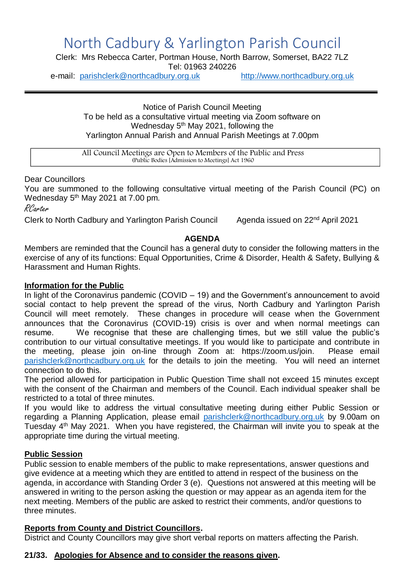# North Cadbury & Yarlington Parish Council

Clerk: Mrs Rebecca Carter, Portman House, North Barrow, Somerset, BA22 7LZ Tel: 01963 240226

e-mail: [parishclerk@northcadbury.org.uk](mailto:parishclerk@northcadbury.org.uk) [http://www.northcadbury.org.uk](http://www.northcadbury.org.uk/)

Notice of Parish Council Meeting To be held as a consultative virtual meeting via Zoom software on Wednesday 5<sup>th</sup> May 2021, following the Yarlington Annual Parish and Annual Parish Meetings at 7.00pm

All Council Meetings are Open to Members of the Public and Press (Public Bodies [Admission to Meetings] Act 1960

## Dear Councillors

You are summoned to the following consultative virtual meeting of the Parish Council (PC) on Wednesday 5<sup>th</sup> May 2021 at 7.00 pm.

RCarter

Clerk to North Cadbury and Yarlington Parish Council Agenda issued on 22<sup>nd</sup> April 2021

## **AGENDA**

Members are reminded that the Council has a general duty to consider the following matters in the exercise of any of its functions: Equal Opportunities, Crime & Disorder, Health & Safety, Bullying & Harassment and Human Rights.

## **Information for the Public**

In light of the Coronavirus pandemic (COVID – 19) and the Government's announcement to avoid social contact to help prevent the spread of the virus. North Cadbury and Yarlington Parish Council will meet remotely. These changes in procedure will cease when the Government announces that the Coronavirus (COVID-19) crisis is over and when normal meetings can resume. We recognise that these are challenging times, but we still value the public's contribution to our virtual consultative meetings. If you would like to participate and contribute in the meeting, please join on-line through Zoom at: https://zoom.us/join. Please email [parishclerk@northcadbury.org.uk](mailto:parishclerk@northcadbury.org.uk) for the details to join the meeting. You will need an internet connection to do this.

The period allowed for participation in Public Question Time shall not exceed 15 minutes except with the consent of the Chairman and members of the Council. Each individual speaker shall be restricted to a total of three minutes.

If you would like to address the virtual consultative meeting during either Public Session or regarding a Planning Application, please email [parishclerk@northcadbury.org.uk](mailto:parishclerk@northcadbury.org.uk) by 9.00am on Tuesday 4<sup>th</sup> May 2021. When you have registered, the Chairman will invite you to speak at the appropriate time during the virtual meeting.

## **Public Session**

Public session to enable members of the public to make representations, answer questions and give evidence at a meeting which they are entitled to attend in respect of the business on the agenda, in accordance with Standing Order 3 (e). Questions not answered at this meeting will be answered in writing to the person asking the question or may appear as an agenda item for the next meeting. Members of the public are asked to restrict their comments, and/or questions to three minutes.

## **Reports from County and District Councillors.**

District and County Councillors may give short verbal reports on matters affecting the Parish.

## **21/33. Apologies for Absence and to consider the reasons given.**